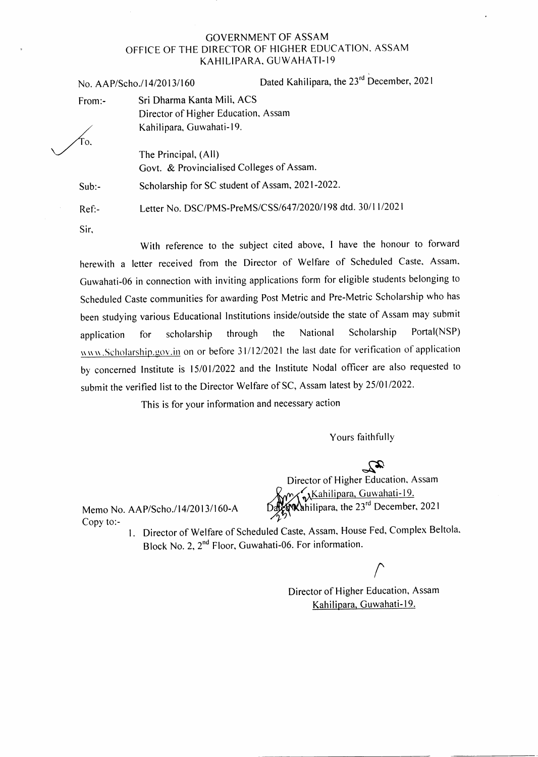### GOVERNMENT OF ASSAM OFFICE OF THE DIRECTOR OF HIGHER EDUCATION. ASSAM KAHILIPARA, GUWAHATI-19

No. AAP/Scho./14/2013/160 Dated Kahilipara, the 23<sup>rd</sup> December, 2021

From:- Sri Dharma Kanta Mili, ACS

To.

The Principal, (All) Govt. & Provincialised Colleges of Assam.

Sub:- Scholarship for SC student of Assam, 2021-2022.

Director of Higher Education, Assam

Kahilipara, Guwahati-19.

Ref:-

Sir,

With reference to the subject cited above, I have the honour to forward herewith a letter received from the Director of Welfare of Scheduled Caste, Assam. Guwahati-06 in connection with inviting applications form for eligible students belonging to Scheduled Caste communities for awarding Post Metric and Pre-Metric Scholarship who has been studying various Educational lnstitutions inside/outside the state of Assam may submit application for scholarship through the National Scholarship Portal(NSP) www.Scholarship.gov.in on or before 31/12/2021 the last date for verification of application by concerned Institute is 15/01/2022 and the Institute Nodal officer are also requested to submit the verified list to the Director Welfare of SC, Assam latest by 25/01/2022.

Letter No. DSC/PMS-PreMS/CSS/647/2020/198 dtd. 30/11/2021

This is for your information and necessary action

Yours faithfully

 $\mathbb{R}$ <br>Director of Higher Education, Assam Memo No. AAP/Scho./14/2013/160-A DagenMahilipara, the 23<sup>rd</sup> December, 2021

Copy to:-

<sup>I</sup>. Director of Welfare of Scheduled Caste, Assam, House Fed. Complex Beltola' Block No. 2, 2<sup>nd</sup> Floor, Guwahati-06. For information.

 $\sqrt{2}$ 

Director of Higher Education, Assam Kahilipara, Guwahati-19.